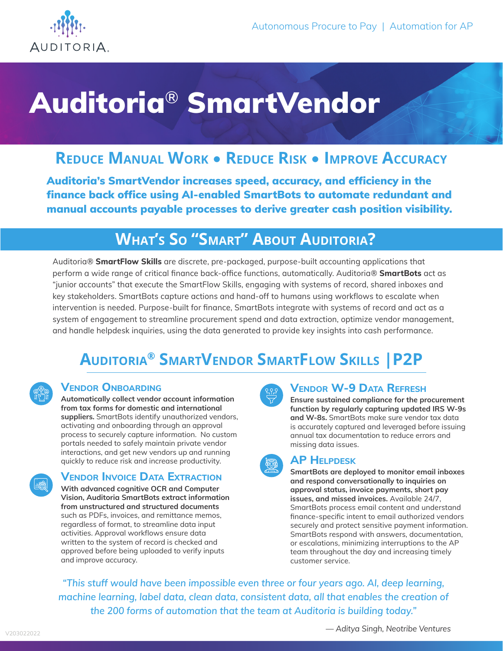

# Auditoria® SmartVendor

### **Reduce Manual Work** • **Reduce Risk** • **Improve Accuracy**

Auditoria's SmartVendor increases speed, accuracy, and efficiency in the finance back office using AI-enabled SmartBots to automate redundant and manual accounts payable processes to derive greater cash position visibility.

## **What's So "Smart" About Auditoria?**

Auditoria® **SmartFlow Skills** are discrete, pre-packaged, purpose-built accounting applications that perform a wide range of critical finance back-office functions, automatically. Auditoria® **SmartBots** act as "junior accounts" that execute the SmartFlow Skills, engaging with systems of record, shared inboxes and key stakeholders. SmartBots capture actions and hand-off to humans using workflows to escalate when intervention is needed. Purpose-built for finance, SmartBots integrate with systems of record and act as a system of engagement to streamline procurement spend and data extraction, optimize vendor management, and handle helpdesk inquiries, using the data generated to provide key insights into cash performance.

## **Auditoria® SmartVendor SmartFlow Skills |P2P**

#### **Vendor Onboarding**

**Automatically collect vendor account information from tax forms for domestic and international suppliers.** SmartBots identify unauthorized vendors, activating and onboarding through an approval process to securely capture information. No custom portals needed to safely maintain private vendor interactions, and get new vendors up and running quickly to reduce risk and increase productivity.

#### **Vendor Invoice Data Extraction**

**With advanced cognitive OCR and Computer Vision, Auditoria SmartBots extract information from unstructured and structured documents**  such as PDFs, invoices, and remittance memos, regardless of format, to streamline data input activities. Approval workflows ensure data written to the system of record is checked and approved before being uploaded to verify inputs and improve accuracy.



#### **Vendor W-9 Data Refresh**

**Ensure sustained compliance for the procurement function by regularly capturing updated IRS W-9s and W-8s.** SmartBots make sure vendor tax data is accurately captured and leveraged before issuing annual tax documentation to reduce errors and missing data issues.

#### **AP Helpdesk**

**SmartBots are deployed to monitor email inboxes and respond conversationally to inquiries on approval status, invoice payments, short pay issues, and missed invoices.** Available 24/7, SmartBots process email content and understand finance-specific intent to email authorized vendors securely and protect sensitive payment information. SmartBots respond with answers, documentation, or escalations, minimizing interruptions to the AP team throughout the day and increasing timely customer service.

*"This stuff would have been impossible even three or four years ago. AI, deep learning, machine learning, label data, clean data, consistent data, all that enables the creation of the 200 forms of automation that the team at Auditoria is building today."*